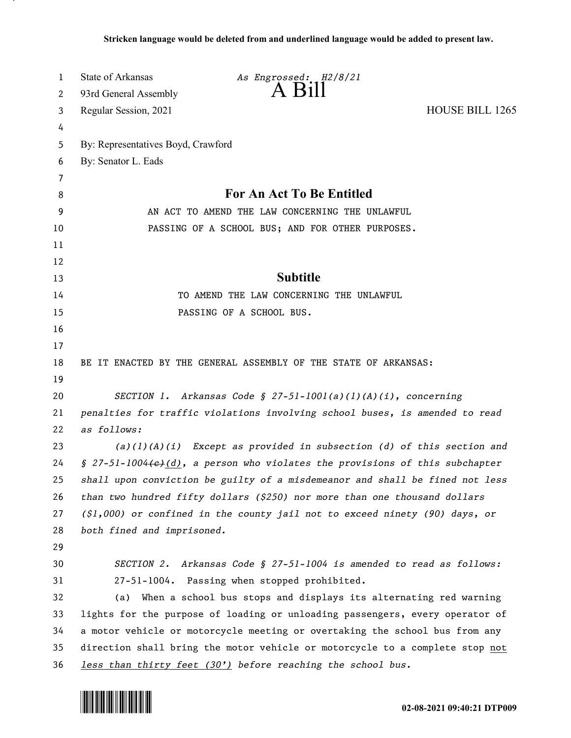| 1      | State of Arkansas                                                           | As Engrossed: H2/8/21                                                          |                        |
|--------|-----------------------------------------------------------------------------|--------------------------------------------------------------------------------|------------------------|
| 2      | 93rd General Assembly                                                       |                                                                                |                        |
| 3      | Regular Session, 2021                                                       |                                                                                | <b>HOUSE BILL 1265</b> |
| 4      |                                                                             |                                                                                |                        |
| 5      | By: Representatives Boyd, Crawford                                          |                                                                                |                        |
| 6      | By: Senator L. Eads                                                         |                                                                                |                        |
| 7<br>8 |                                                                             | For An Act To Be Entitled                                                      |                        |
| 9      |                                                                             | AN ACT TO AMEND THE LAW CONCERNING THE UNLAWFUL                                |                        |
| 10     |                                                                             | PASSING OF A SCHOOL BUS; AND FOR OTHER PURPOSES.                               |                        |
| 11     |                                                                             |                                                                                |                        |
| 12     |                                                                             |                                                                                |                        |
| 13     |                                                                             | <b>Subtitle</b>                                                                |                        |
| 14     |                                                                             | TO AMEND THE LAW CONCERNING THE UNLAWFUL                                       |                        |
| 15     |                                                                             | PASSING OF A SCHOOL BUS.                                                       |                        |
| 16     |                                                                             |                                                                                |                        |
| 17     |                                                                             |                                                                                |                        |
| 18     |                                                                             | BE IT ENACTED BY THE GENERAL ASSEMBLY OF THE STATE OF ARKANSAS:                |                        |
| 19     |                                                                             |                                                                                |                        |
| 20     |                                                                             | SECTION 1. Arkansas Code § 27-51-1001(a)(1)(A)(i), concerning                  |                        |
| 21     | penalties for traffic violations involving school buses, is amended to read |                                                                                |                        |
| 22     | as follows:                                                                 |                                                                                |                        |
| 23     |                                                                             | $(a)(1)(A)(i)$ Except as provided in subsection (d) of this section and        |                        |
| 24     |                                                                             | $$ 27-51-1004(e)(d)$ , a person who violates the provisions of this subchapter |                        |
| 25     |                                                                             | shall upon conviction be guilty of a misdemeanor and shall be fined not less   |                        |
| 26     |                                                                             | than two hundred fifty dollars (\$250) nor more than one thousand dollars      |                        |
| 27     |                                                                             | $(51,000)$ or confined in the county jail not to exceed ninety (90) days, or   |                        |
| 28     | both fined and imprisoned.                                                  |                                                                                |                        |
| 29     |                                                                             |                                                                                |                        |
| 30     |                                                                             | SECTION 2. Arkansas Code § 27-51-1004 is amended to read as follows:           |                        |
| 31     |                                                                             | 27-51-1004. Passing when stopped prohibited.                                   |                        |
| 32     | (a)                                                                         | When a school bus stops and displays its alternating red warning               |                        |
| 33     |                                                                             | lights for the purpose of loading or unloading passengers, every operator of   |                        |
| 34     |                                                                             | a motor vehicle or motorcycle meeting or overtaking the school bus from any    |                        |
| 35     |                                                                             | direction shall bring the motor vehicle or motorcycle to a complete stop not   |                        |
| 36     |                                                                             | less than thirty feet (30') before reaching the school bus.                    |                        |